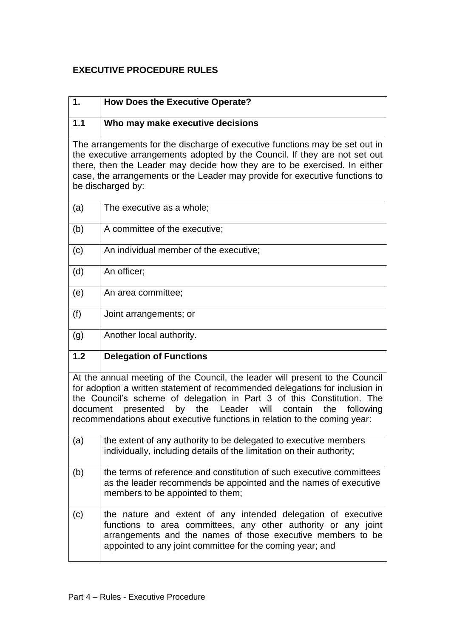## **EXECUTIVE PROCEDURE RULES**

| 1.                                                                                                                                                                                                                                                                                                                                                                                                | <b>How Does the Executive Operate?</b>                                                                                                                                                                                                                      |  |
|---------------------------------------------------------------------------------------------------------------------------------------------------------------------------------------------------------------------------------------------------------------------------------------------------------------------------------------------------------------------------------------------------|-------------------------------------------------------------------------------------------------------------------------------------------------------------------------------------------------------------------------------------------------------------|--|
| 1.1                                                                                                                                                                                                                                                                                                                                                                                               | Who may make executive decisions                                                                                                                                                                                                                            |  |
| The arrangements for the discharge of executive functions may be set out in<br>the executive arrangements adopted by the Council. If they are not set out<br>there, then the Leader may decide how they are to be exercised. In either<br>case, the arrangements or the Leader may provide for executive functions to<br>be discharged by:                                                        |                                                                                                                                                                                                                                                             |  |
| (a)                                                                                                                                                                                                                                                                                                                                                                                               | The executive as a whole;                                                                                                                                                                                                                                   |  |
| (b)                                                                                                                                                                                                                                                                                                                                                                                               | A committee of the executive;                                                                                                                                                                                                                               |  |
| (c)                                                                                                                                                                                                                                                                                                                                                                                               | An individual member of the executive;                                                                                                                                                                                                                      |  |
| (d)                                                                                                                                                                                                                                                                                                                                                                                               | An officer;                                                                                                                                                                                                                                                 |  |
| (e)                                                                                                                                                                                                                                                                                                                                                                                               | An area committee;                                                                                                                                                                                                                                          |  |
| (f)                                                                                                                                                                                                                                                                                                                                                                                               | Joint arrangements; or                                                                                                                                                                                                                                      |  |
| (g)                                                                                                                                                                                                                                                                                                                                                                                               | Another local authority.                                                                                                                                                                                                                                    |  |
| 1.2                                                                                                                                                                                                                                                                                                                                                                                               | <b>Delegation of Functions</b>                                                                                                                                                                                                                              |  |
| At the annual meeting of the Council, the leader will present to the Council<br>for adoption a written statement of recommended delegations for inclusion in<br>the Council's scheme of delegation in Part 3 of this Constitution. The<br>by the Leader will<br>presented<br>contain<br>document<br>the<br>following<br>recommendations about executive functions in relation to the coming year: |                                                                                                                                                                                                                                                             |  |
| (a)                                                                                                                                                                                                                                                                                                                                                                                               | the extent of any authority to be delegated to executive members<br>individually, including details of the limitation on their authority;                                                                                                                   |  |
| (b)                                                                                                                                                                                                                                                                                                                                                                                               | the terms of reference and constitution of such executive committees<br>as the leader recommends be appointed and the names of executive<br>members to be appointed to them;                                                                                |  |
| (c)                                                                                                                                                                                                                                                                                                                                                                                               | the nature and extent of any intended delegation of executive<br>functions to area committees, any other authority or any joint<br>arrangements and the names of those executive members to be<br>appointed to any joint committee for the coming year; and |  |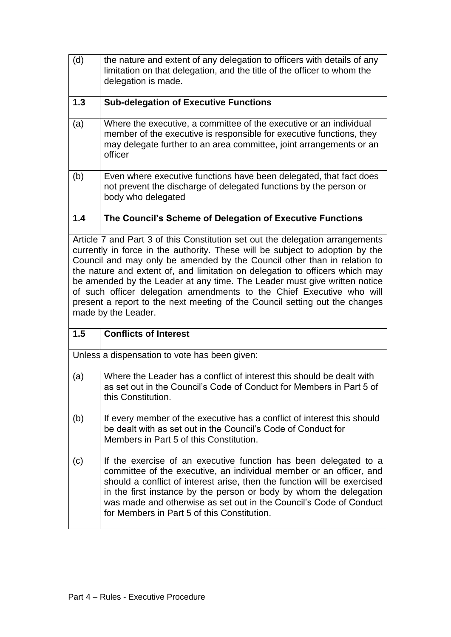| (d)                                                                                                                                                                                                                                                                                                                                                                                                                                                                                                                                                                                    | the nature and extent of any delegation to officers with details of any<br>limitation on that delegation, and the title of the officer to whom the<br>delegation is made.                                                                                                                                                                                                                                      |  |
|----------------------------------------------------------------------------------------------------------------------------------------------------------------------------------------------------------------------------------------------------------------------------------------------------------------------------------------------------------------------------------------------------------------------------------------------------------------------------------------------------------------------------------------------------------------------------------------|----------------------------------------------------------------------------------------------------------------------------------------------------------------------------------------------------------------------------------------------------------------------------------------------------------------------------------------------------------------------------------------------------------------|--|
| 1.3                                                                                                                                                                                                                                                                                                                                                                                                                                                                                                                                                                                    | <b>Sub-delegation of Executive Functions</b>                                                                                                                                                                                                                                                                                                                                                                   |  |
| (a)                                                                                                                                                                                                                                                                                                                                                                                                                                                                                                                                                                                    | Where the executive, a committee of the executive or an individual<br>member of the executive is responsible for executive functions, they<br>may delegate further to an area committee, joint arrangements or an<br>officer                                                                                                                                                                                   |  |
| (b)                                                                                                                                                                                                                                                                                                                                                                                                                                                                                                                                                                                    | Even where executive functions have been delegated, that fact does<br>not prevent the discharge of delegated functions by the person or<br>body who delegated                                                                                                                                                                                                                                                  |  |
| 1.4                                                                                                                                                                                                                                                                                                                                                                                                                                                                                                                                                                                    | The Council's Scheme of Delegation of Executive Functions                                                                                                                                                                                                                                                                                                                                                      |  |
| Article 7 and Part 3 of this Constitution set out the delegation arrangements<br>currently in force in the authority. These will be subject to adoption by the<br>Council and may only be amended by the Council other than in relation to<br>the nature and extent of, and limitation on delegation to officers which may<br>be amended by the Leader at any time. The Leader must give written notice<br>of such officer delegation amendments to the Chief Executive who will<br>present a report to the next meeting of the Council setting out the changes<br>made by the Leader. |                                                                                                                                                                                                                                                                                                                                                                                                                |  |
| 1.5                                                                                                                                                                                                                                                                                                                                                                                                                                                                                                                                                                                    | <b>Conflicts of Interest</b>                                                                                                                                                                                                                                                                                                                                                                                   |  |
|                                                                                                                                                                                                                                                                                                                                                                                                                                                                                                                                                                                        | Unless a dispensation to vote has been given:                                                                                                                                                                                                                                                                                                                                                                  |  |
| (a)                                                                                                                                                                                                                                                                                                                                                                                                                                                                                                                                                                                    | Where the Leader has a conflict of interest this should be dealt with<br>as set out in the Council's Code of Conduct for Members in Part 5 of<br>this Constitution.                                                                                                                                                                                                                                            |  |
| (b)                                                                                                                                                                                                                                                                                                                                                                                                                                                                                                                                                                                    | If every member of the executive has a conflict of interest this should<br>be dealt with as set out in the Council's Code of Conduct for<br>Members in Part 5 of this Constitution.                                                                                                                                                                                                                            |  |
| (c)                                                                                                                                                                                                                                                                                                                                                                                                                                                                                                                                                                                    | If the exercise of an executive function has been delegated to a<br>committee of the executive, an individual member or an officer, and<br>should a conflict of interest arise, then the function will be exercised<br>in the first instance by the person or body by whom the delegation<br>was made and otherwise as set out in the Council's Code of Conduct<br>for Members in Part 5 of this Constitution. |  |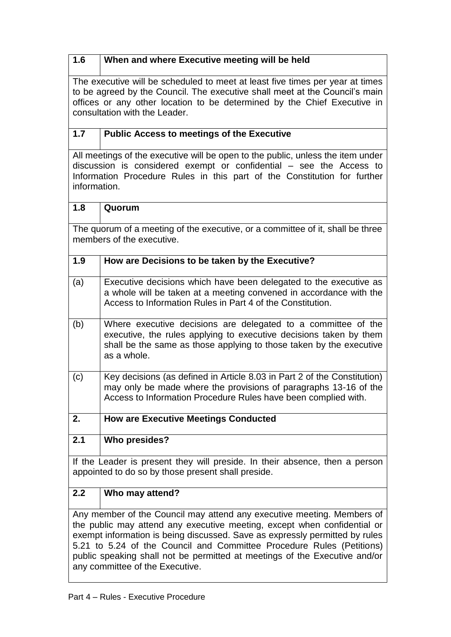## **1.6 When and where Executive meeting will be held**

The executive will be scheduled to meet at least five times per year at times to be agreed by the Council. The executive shall meet at the Council's main offices or any other location to be determined by the Chief Executive in consultation with the Leader.

## **1.7 Public Access to meetings of the Executive**

All meetings of the executive will be open to the public, unless the item under discussion is considered exempt or confidential – see the Access to Information Procedure Rules in this part of the Constitution for further information.

| 1.8                                                                                                                                                 | Quorum                                                                                                                                                                                                                    |  |
|-----------------------------------------------------------------------------------------------------------------------------------------------------|---------------------------------------------------------------------------------------------------------------------------------------------------------------------------------------------------------------------------|--|
|                                                                                                                                                     | The quorum of a meeting of the executive, or a committee of it, shall be three                                                                                                                                            |  |
| members of the executive.                                                                                                                           |                                                                                                                                                                                                                           |  |
| 1.9                                                                                                                                                 | How are Decisions to be taken by the Executive?                                                                                                                                                                           |  |
| (a)                                                                                                                                                 | Executive decisions which have been delegated to the executive as<br>a whole will be taken at a meeting convened in accordance with the<br>Access to Information Rules in Part 4 of the Constitution.                     |  |
| (b)                                                                                                                                                 | Where executive decisions are delegated to a committee of the<br>executive, the rules applying to executive decisions taken by them<br>shall be the same as those applying to those taken by the executive<br>as a whole. |  |
| (c)                                                                                                                                                 | Key decisions (as defined in Article 8.03 in Part 2 of the Constitution)<br>may only be made where the provisions of paragraphs 13-16 of the<br>Access to Information Procedure Rules have been complied with.            |  |
| 2.                                                                                                                                                  | <b>How are Executive Meetings Conducted</b>                                                                                                                                                                               |  |
| 2.1                                                                                                                                                 | <b>Who presides?</b>                                                                                                                                                                                                      |  |
|                                                                                                                                                     | If the Leader is present they will preside. In their absence, then a person                                                                                                                                               |  |
| appointed to do so by those present shall preside.                                                                                                  |                                                                                                                                                                                                                           |  |
| 2.2                                                                                                                                                 | Who may attend?                                                                                                                                                                                                           |  |
| Any member of the Council may attend any executive meeting. Members of                                                                              |                                                                                                                                                                                                                           |  |
| the public may attend any executive meeting, except when confidential or                                                                            |                                                                                                                                                                                                                           |  |
| exempt information is being discussed. Save as expressly permitted by rules                                                                         |                                                                                                                                                                                                                           |  |
| 5.21 to 5.24 of the Council and Committee Procedure Rules (Petitions)<br>public speaking shall not be permitted at meetings of the Executive and/or |                                                                                                                                                                                                                           |  |
|                                                                                                                                                     |                                                                                                                                                                                                                           |  |

any committee of the Executive.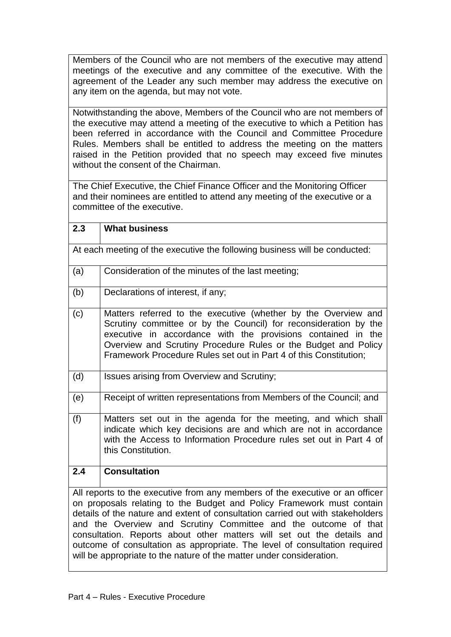Members of the Council who are not members of the executive may attend meetings of the executive and any committee of the executive. With the agreement of the Leader any such member may address the executive on any item on the agenda, but may not vote.

Notwithstanding the above, Members of the Council who are not members of the executive may attend a meeting of the executive to which a Petition has been referred in accordance with the Council and Committee Procedure Rules. Members shall be entitled to address the meeting on the matters raised in the Petition provided that no speech may exceed five minutes without the consent of the Chairman.

The Chief Executive, the Chief Finance Officer and the Monitoring Officer and their nominees are entitled to attend any meeting of the executive or a committee of the executive.

| 2.3                                                                                                                                                                                                                                                                                                                                                                                                                                                                                                                                        | <b>What business</b>                                                                                                                                                                                                                                                                                                                      |  |
|--------------------------------------------------------------------------------------------------------------------------------------------------------------------------------------------------------------------------------------------------------------------------------------------------------------------------------------------------------------------------------------------------------------------------------------------------------------------------------------------------------------------------------------------|-------------------------------------------------------------------------------------------------------------------------------------------------------------------------------------------------------------------------------------------------------------------------------------------------------------------------------------------|--|
| At each meeting of the executive the following business will be conducted:                                                                                                                                                                                                                                                                                                                                                                                                                                                                 |                                                                                                                                                                                                                                                                                                                                           |  |
| (a)                                                                                                                                                                                                                                                                                                                                                                                                                                                                                                                                        | Consideration of the minutes of the last meeting;                                                                                                                                                                                                                                                                                         |  |
| (b)                                                                                                                                                                                                                                                                                                                                                                                                                                                                                                                                        | Declarations of interest, if any;                                                                                                                                                                                                                                                                                                         |  |
| (c)                                                                                                                                                                                                                                                                                                                                                                                                                                                                                                                                        | Matters referred to the executive (whether by the Overview and<br>Scrutiny committee or by the Council) for reconsideration by the<br>executive in accordance with the provisions contained in the<br>Overview and Scrutiny Procedure Rules or the Budget and Policy<br>Framework Procedure Rules set out in Part 4 of this Constitution; |  |
| (d)                                                                                                                                                                                                                                                                                                                                                                                                                                                                                                                                        | Issues arising from Overview and Scrutiny;                                                                                                                                                                                                                                                                                                |  |
| (e)                                                                                                                                                                                                                                                                                                                                                                                                                                                                                                                                        | Receipt of written representations from Members of the Council; and                                                                                                                                                                                                                                                                       |  |
| (f)                                                                                                                                                                                                                                                                                                                                                                                                                                                                                                                                        | Matters set out in the agenda for the meeting, and which shall<br>indicate which key decisions are and which are not in accordance<br>with the Access to Information Procedure rules set out in Part 4 of<br>this Constitution.                                                                                                           |  |
| 2.4                                                                                                                                                                                                                                                                                                                                                                                                                                                                                                                                        | <b>Consultation</b>                                                                                                                                                                                                                                                                                                                       |  |
| All reports to the executive from any members of the executive or an officer<br>on proposals relating to the Budget and Policy Framework must contain<br>details of the nature and extent of consultation carried out with stakeholders<br>and the Overview and Scrutiny Committee and the outcome of that<br>consultation. Reports about other matters will set out the details and<br>outcome of consultation as appropriate. The level of consultation required<br>will be appropriate to the nature of the matter under consideration. |                                                                                                                                                                                                                                                                                                                                           |  |